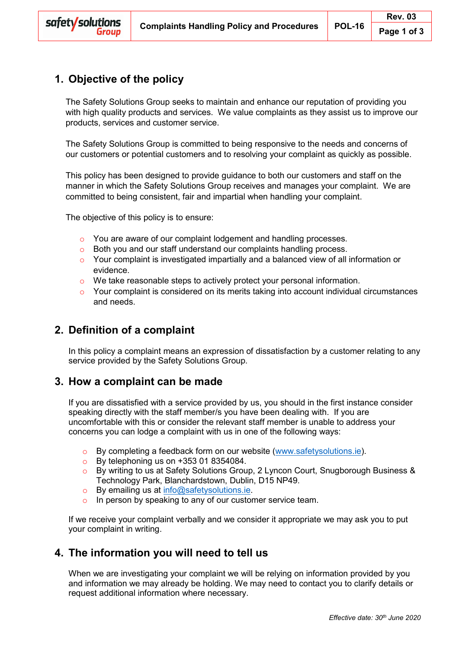# **1. Objective of the policy**

The Safety Solutions Group seeks to maintain and enhance our reputation of providing you with high quality products and services. We value complaints as they assist us to improve our products, services and customer service.

The Safety Solutions Group is committed to being responsive to the needs and concerns of our customers or potential customers and to resolving your complaint as quickly as possible.

This policy has been designed to provide guidance to both our customers and staff on the manner in which the Safety Solutions Group receives and manages your complaint. We are committed to being consistent, fair and impartial when handling your complaint.

The objective of this policy is to ensure:

- o You are aware of our complaint lodgement and handling processes.
- o Both you and our staff understand our complaints handling process.
- o Your complaint is investigated impartially and a balanced view of all information or evidence.
- $\circ$  We take reasonable steps to actively protect your personal information.
- $\circ$  Your complaint is considered on its merits taking into account individual circumstances and needs.

# **2. Definition of a complaint**

In this policy a complaint means an expression of dissatisfaction by a customer relating to any service provided by the Safety Solutions Group.

## **3. How a complaint can be made**

If you are dissatisfied with a service provided by us, you should in the first instance consider speaking directly with the staff member/s you have been dealing with. If you are uncomfortable with this or consider the relevant staff member is unable to address your concerns you can lodge a complaint with us in one of the following ways:

- o By completing a feedback form on our website [\(www.safetysolutions.ie\)](http://www.safetysolutions.ie/).
- $\circ$  By telephoning us on +353 01 8354084.
- o By writing to us at Safety Solutions Group, 2 Lyncon Court, Snugborough Business & Technology Park, Blanchardstown, Dublin, D15 NP49.
- o By emailing us at [info@safetysolutions.ie.](mailto:info@safetysolutions.ie)
- o In person by speaking to any of our customer service team.

If we receive your complaint verbally and we consider it appropriate we may ask you to put your complaint in writing.

## **4. The information you will need to tell us**

When we are investigating your complaint we will be relying on information provided by you and information we may already be holding. We may need to contact you to clarify details or request additional information where necessary.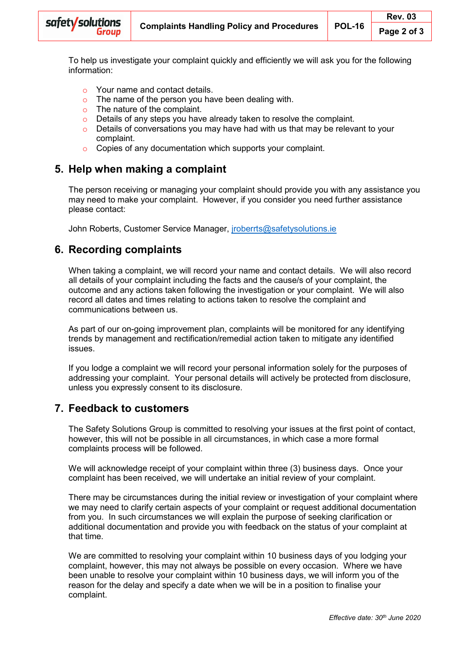To help us investigate your complaint quickly and efficiently we will ask you for the following information:

- $\circ$  Your name and contact details.
- The name of the person you have been dealing with.
- o The nature of the complaint.
- o Details of any steps you have already taken to resolve the complaint.
- $\circ$  Details of conversations you may have had with us that may be relevant to your complaint.
- o Copies of any documentation which supports your complaint.

### **5. Help when making a complaint**

The person receiving or managing your complaint should provide you with any assistance you may need to make your complaint. However, if you consider you need further assistance please contact:

John Roberts, Customer Service Manager, [jroberrts@safetysolutions.ie](mailto:jroberrts@safetysolutions.ie)

# **6. Recording complaints**

When taking a complaint, we will record your name and contact details. We will also record all details of your complaint including the facts and the cause/s of your complaint, the outcome and any actions taken following the investigation or your complaint. We will also record all dates and times relating to actions taken to resolve the complaint and communications between us.

As part of our on-going improvement plan, complaints will be monitored for any identifying trends by management and rectification/remedial action taken to mitigate any identified issues.

If you lodge a complaint we will record your personal information solely for the purposes of addressing your complaint. Your personal details will actively be protected from disclosure, unless you expressly consent to its disclosure.

## **7. Feedback to customers**

The Safety Solutions Group is committed to resolving your issues at the first point of contact, however, this will not be possible in all circumstances, in which case a more formal complaints process will be followed.

We will acknowledge receipt of your complaint within three (3) business days. Once your complaint has been received, we will undertake an initial review of your complaint.

There may be circumstances during the initial review or investigation of your complaint where we may need to clarify certain aspects of your complaint or request additional documentation from you. In such circumstances we will explain the purpose of seeking clarification or additional documentation and provide you with feedback on the status of your complaint at that time.

We are committed to resolving your complaint within 10 business days of you lodging your complaint, however, this may not always be possible on every occasion. Where we have been unable to resolve your complaint within 10 business days, we will inform you of the reason for the delay and specify a date when we will be in a position to finalise your complaint.